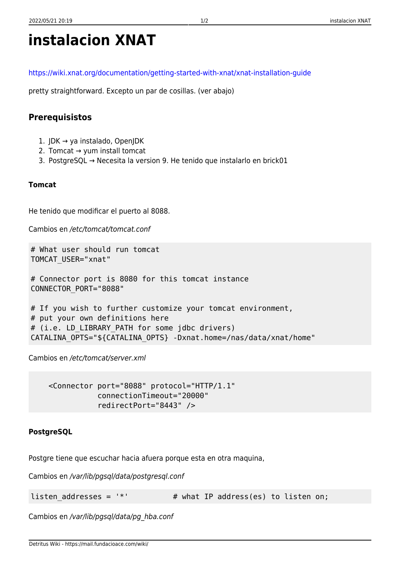# **instalacion XNAT**

<https://wiki.xnat.org/documentation/getting-started-with-xnat/xnat-installation-guide>

pretty straightforward. Excepto un par de cosillas. (ver abajo)

## **Prerequisistos**

- 1. JDK → ya instalado, OpenJDK
- 2. Tomcat → yum install tomcat
- 3. PostgreSQL → Necesita la version 9. He tenido que instalarlo en brick01

### **Tomcat**

He tenido que modificar el puerto al 8088.

Cambios en /etc/tomcat/tomcat.conf

```
# What user should run tomcat
TOMCAT_USER="xnat"
```

```
# Connector port is 8080 for this tomcat instance
CONNECTOR_PORT="8088"
```

```
# If you wish to further customize your tomcat environment,
# put your own definitions here
# (i.e. LD_LIBRARY_PATH for some jdbc drivers)
CATALINA_OPTS="${CATALINA_OPTS} -Dxnat.home=/nas/data/xnat/home"
```
Cambios en /etc/tomcat/server.xml

 <Connector port="8088" protocol="HTTP/1.1" connectionTimeout="20000" redirectPort="8443" />

## **PostgreSQL**

Postgre tiene que escuchar hacia afuera porque esta en otra maquina,

Cambios en /var/lib/pgsql/data/postgresql.conf

listen addresses =  $'$ \*'  $*$  # what IP address(es) to listen on;

Cambios en /var/lib/pgsql/data/pg\_hba.conf